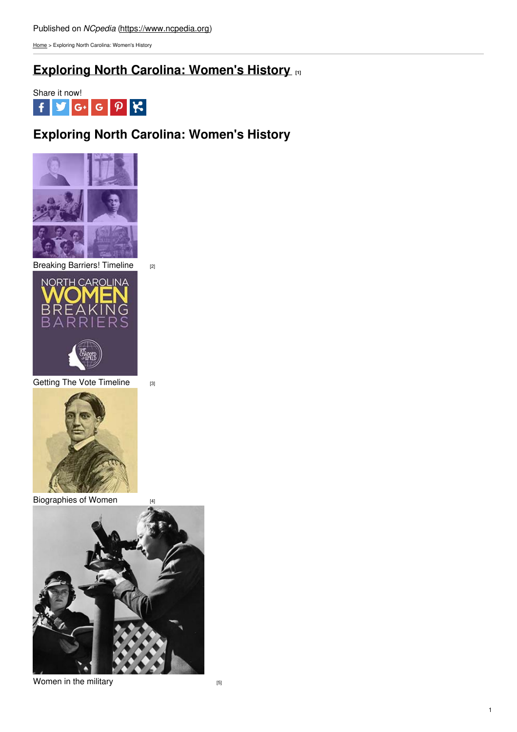[Home](https://www.ncpedia.org/) > Exploring North Carolina: Women's History

# **[Exploring](https://www.ncpedia.org/exploring-north-carolina-womens-history) North Carolina: Women's History [1]**



## **Exploring North Carolina: Women's History**



[Breaking](https://www.ncpedia.org/timeline/nc-women-barrier-breaking-moments) Barriers! Timeline [2]



Getting The Vote [Timeline](https://indd.adobe.com/view/d471d15a-9d5d-4ae8-8889-13fa6ee31ab5) [3]



[Biographies](https://www.ncpedia.org/biography/women) of Women [4]



[Women](https://www.ncpedia.org/gsearch?query=women+AND+military) in the military  $[5]$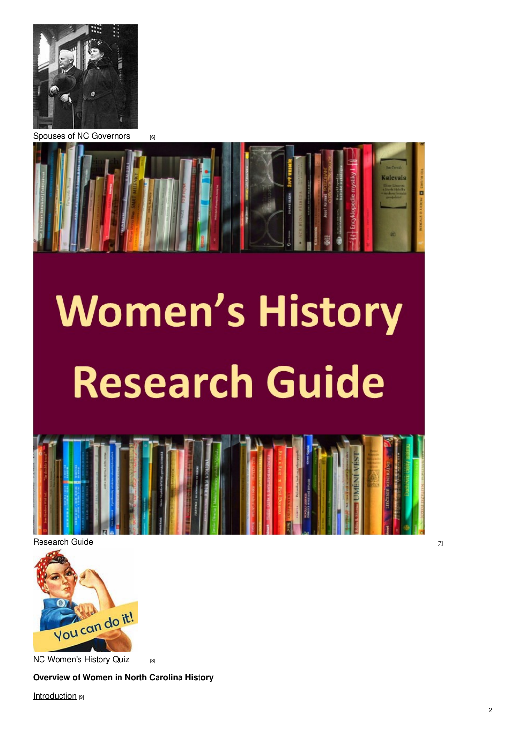

Spouses of NC [Governors](https://www.ncpedia.org/node/12179) **60** 



# **Women's History Research Guide**





NC [Women's](https://www.ncpedia.org/Quizzes/index.html) History Quiz [8]

### **Overview of Women in North Carolina History**

**[Introduction](https://www.ncpedia.org/women)** [9]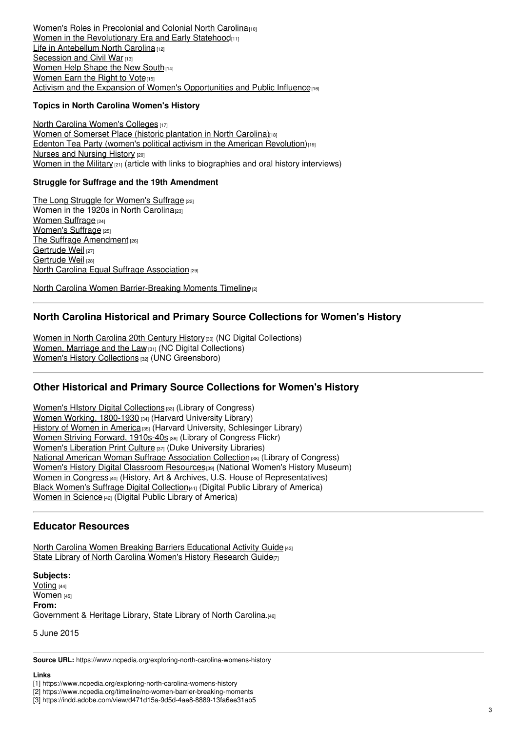**Women's Roles in [Precolonial](https://www.ncpedia.org/women-part-2-womens-roles-precoloni) and Colonial North Carolina**<sup>[10]</sup> Women in the [Revolutionary](https://www.ncpedia.org/women-part-3-women-revolutionary-er) Era and Early Statehood<sub>[11]</sub> Life in [Antebellum](https://www.ncpedia.org/women-part-4-life-antebellum-north-) North Carolina [12] [Secession](https://www.ncpedia.org/women-part-5-secession-and-civil-wa) and Civil War [13] [Women](https://www.ncpedia.org/women-part-6-women-help-shape-new-s) Help Shape the New South [14] [Women](https://www.ncpedia.org/women-part-7-women-earn-right-vote) Earn the Right to Vote<sub>[15]</sub> Activism and the Expansion of Women's [Opportunities](https://www.ncpedia.org/women-part-8-activism-and-expansion) and Public Influence

#### **Topics in North Carolina Women's History**

North Carolina [Women's](https://www.ncpedia.org/education/womens-colleges) Colleges [17] Women of Somerset Place (historic [plantation](https://www.ncpedia.org/history/somerset-place) in North Carolina)<sub>[18]</sub> Edenton Tea Party (women's political activism in the American [Revolution\)](https://www.ncpedia.org/edenton-tea-party-0)<sup>[19]</sup> Nurses and [Nursing](https://www.ncpedia.org/gsearch?query=nursing) History [20] [Women](https://www.ncpedia.org/history/20th-Century/wwii-women) in the Military  $[21]$  (article with links to biographies and oral history interviews)

#### **Struggle for Suffrage and the 19th Amendment**

The Long Struggle for [Women's](https://www.ncpedia.org/anchor/long-struggle-womens) Suffrage [22] [Women](https://www.ncpedia.org/history/20th-Century/1920s-women) in the 1920s in North Carolina<sup>[23]</sup> Women [Suffrage](https://www.ncpedia.org/women-suffrage) [24] [Women's](https://www.ncpedia.org/anchor/womens-suffrage) Suffrage [25] The Suffrage [Amendment](https://www.ncpedia.org/anchor/suffrage-amendment) [26] [Gertrude](https://www.ncpedia.org/weil-gertrude) Weil [27] [Gertrude](https://www.ncpedia.org/biography/weil-gertrude-0) Weil [28] North Carolina Equal Suffrage [Association](https://www.ncpedia.org/north-carolina-equal-suffrage-assoc) [29]

North Carolina Women [Barrier-Breaking](https://www.ncpedia.org/timeline/nc-women-barrier-breaking-moments) Moments Timeline<sup>[2]</sup>

### **North Carolina Historical and Primary Source Collections for Women's History**

Women in North [Carolina](https://digital.ncdcr.gov/digital/custom/women-in-nc) 20th Century History<sup>[30]</sup> (NC Digital Collections) **Women, [Marriage](https://digital.ncdcr.gov/digital/custom/women-marriage-and-the-law) and the Law [31] (NC Digital Collections)** Women's History [Collections](http://libcdm1.uncg.edu/cdm/womenshistory/) [32] (UNC Greensboro)

## **Other Historical and Primary Source Collections for Women's History**

Women's HIstory Digital [Collections](https://www.loc.gov/collections/?fa=subject:women%27s+history) [33] (Library of Congress) Women Working, [1800-1930](https://library.harvard.edu/collections/women-working-1800-1930) [34] (Harvard University Library) History of [Women](https://guides.library.harvard.edu/c.php?g=420228&p=2866122) in America<sup>[35]</sup> (Harvard University, Schlesinger Library) Women Striving Forward, [1910s-40s](https://www.flickr.com/photos/library_of_congress/sets/72157614805050380/) [36] (Library of Congress Flickr) Women's [Liberation](https://repository.duke.edu/dc/wlmpc) Print Culture [37] (Duke University Libraries) National American Woman Suffrage [Association](https://www.loc.gov/collections/national-american-woman-suffrage-association/about-this-collection/) Collection [38] (Library of Congress) **Women's History Digital [Classroom](https://www.womenshistory.org/students-educators/digital-classroom-resources) Resources**[39] (National Women's History Museum) Women in [Congress](https://history.house.gov/Exhibition-and-Publications/WIC/Women-in-Congress/) [40] (History, Art & Archives, U.S. House of Representatives) Black [Women's](https://blackwomenssuffrage.dp.la/) Suffrage Digital Collection<sup>[41]</sup> (Digital Public Library of America) [Women](https://dp.la/browse-by-topic/women-in-science) in Science [42] (Digital Public Library of America)

### **Educator Resources**

North Carolina Women Breaking Barriers [Educational](https://files.nc.gov/ncdcr/documents/files/She-Changed-the-World-Educational-Activity-Guide-.pdf) Activity Guide [43] State Library of North Carolina Women's History [Research](https://statelibrary.ncdcr.libguides.com/ncwomen) Guide<sup>[7]</sup>

**Subjects:** [Voting](https://www.ncpedia.org/category/subjects/voting) [44] [Women](https://www.ncpedia.org/category/subjects/women) [45] **From:** [Government](https://www.ncpedia.org/category/entry-source/government) & Heritage Library, State Library of North Carolina.[46]

5 June 2015

**Source URL:** https://www.ncpedia.org/exploring-north-carolina-womens-history

#### **Links**

[1] https://www.ncpedia.org/exploring-north-carolina-womens-history

[2] https://www.ncpedia.org/timeline/nc-women-barrier-breaking-moments

[3] https://indd.adobe.com/view/d471d15a-9d5d-4ae8-8889-13fa6ee31ab5